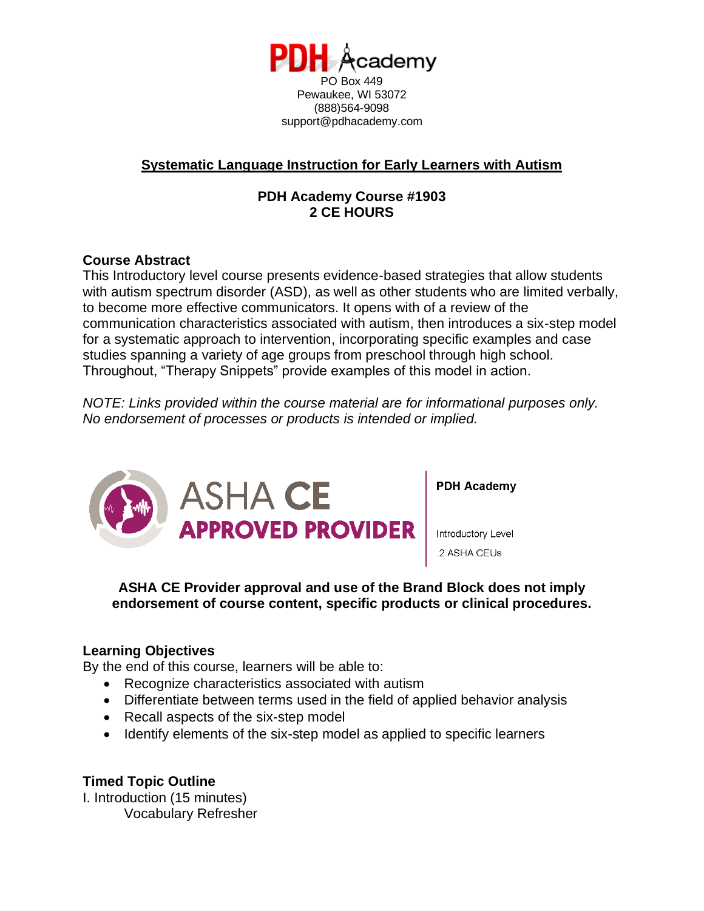

## **Systematic Language Instruction for Early Learners with Autism**

# **PDH Academy Course #1903 2 CE HOURS**

### **Course Abstract**

This Introductory level course presents evidence-based strategies that allow students with autism spectrum disorder (ASD), as well as other students who are limited verbally, to become more effective communicators. It opens with of a review of the communication characteristics associated with autism, then introduces a six-step model for a systematic approach to intervention, incorporating specific examples and case studies spanning a variety of age groups from preschool through high school. Throughout, "Therapy Snippets" provide examples of this model in action.

*NOTE: Links provided within the course material are for informational purposes only. No endorsement of processes or products is intended or implied.*



**PDH Academy** 

Introductory Level 2 ASHA CEUs

### **ASHA CE Provider approval and use of the Brand Block does not imply endorsement of course content, specific products or clinical procedures.**

#### **Learning Objectives**

By the end of this course, learners will be able to:

- Recognize characteristics associated with autism
- Differentiate between terms used in the field of applied behavior analysis
- Recall aspects of the six-step model
- Identify elements of the six-step model as applied to specific learners

# **Timed Topic Outline**

I. Introduction (15 minutes) Vocabulary Refresher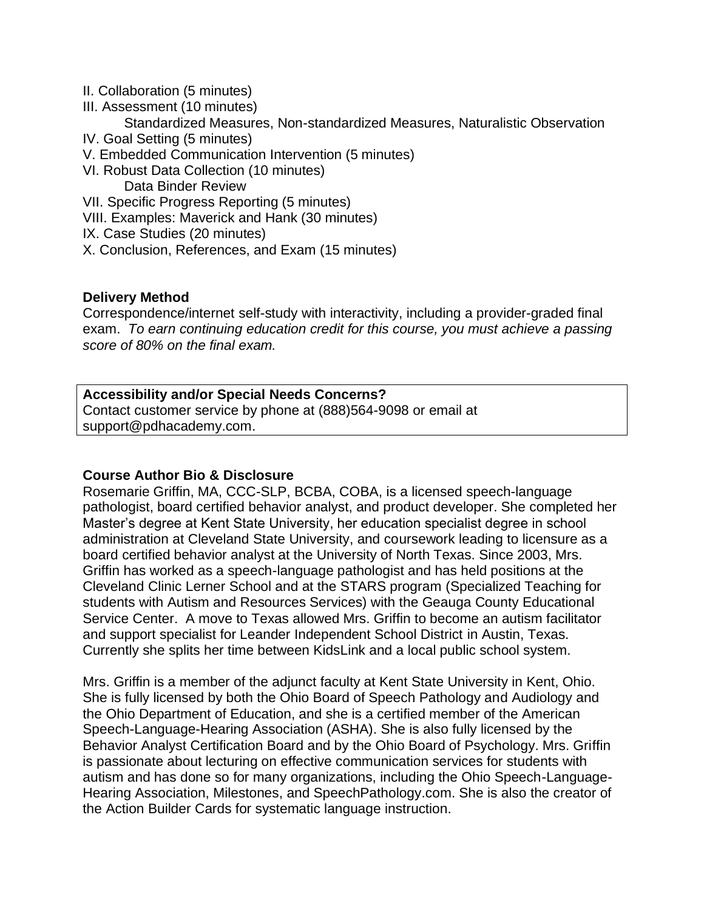- II. Collaboration (5 minutes)
- III. Assessment (10 minutes)
	- Standardized Measures, Non-standardized Measures, Naturalistic Observation
- IV. Goal Setting (5 minutes)
- V. Embedded Communication Intervention (5 minutes)
- VI. Robust Data Collection (10 minutes)
	- Data Binder Review
- VII. Specific Progress Reporting (5 minutes)
- VIII. Examples: Maverick and Hank (30 minutes)
- IX. Case Studies (20 minutes)
- X. Conclusion, References, and Exam (15 minutes)

### **Delivery Method**

Correspondence/internet self-study with interactivity, including a provider-graded final exam. *To earn continuing education credit for this course, you must achieve a passing score of 80% on the final exam.*

### **Accessibility and/or Special Needs Concerns?**

Contact customer service by phone at (888)564-9098 or email at support@pdhacademy.com.

#### **Course Author Bio & Disclosure**

Rosemarie Griffin, MA, CCC-SLP, BCBA, COBA, is a licensed speech-language pathologist, board certified behavior analyst, and product developer. She completed her Master's degree at Kent State University, her education specialist degree in school administration at Cleveland State University, and coursework leading to licensure as a board certified behavior analyst at the University of North Texas. Since 2003, Mrs. Griffin has worked as a speech-language pathologist and has held positions at the Cleveland Clinic Lerner School and at the STARS program (Specialized Teaching for students with Autism and Resources Services) with the Geauga County Educational Service Center. A move to Texas allowed Mrs. Griffin to become an autism facilitator and support specialist for Leander Independent School District in Austin, Texas. Currently she splits her time between KidsLink and a local public school system.

Mrs. Griffin is a member of the adjunct faculty at Kent State University in Kent, Ohio. She is fully licensed by both the Ohio Board of Speech Pathology and Audiology and the Ohio Department of Education, and she is a certified member of the American Speech-Language-Hearing Association (ASHA). She is also fully licensed by the Behavior Analyst Certification Board and by the Ohio Board of Psychology. Mrs. Griffin is passionate about lecturing on effective communication services for students with autism and has done so for many organizations, including the Ohio Speech-Language-Hearing Association, Milestones, and SpeechPathology.com. She is also the creator of the Action Builder Cards for systematic language instruction.